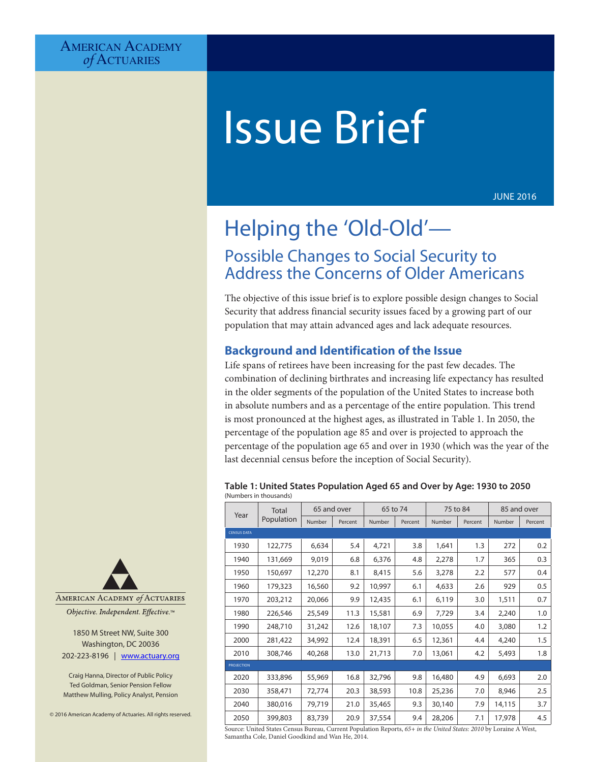# Issue Brief

JUNE 2016

# Helping the 'Old-Old'— Possible Changes to Social Security to Address the Concerns of Older Americans

The objective of this issue brief is to explore possible design changes to Social Security that address financial security issues faced by a growing part of our population that may attain advanced ages and lack adequate resources.

# **Background and Identification of the Issue**

Life spans of retirees have been increasing for the past few decades. The combination of declining birthrates and increasing life expectancy has resulted in the older segments of the population of the United States to increase both in absolute numbers and as a percentage of the entire population. This trend is most pronounced at the highest ages, as illustrated in Table 1. In 2050, the percentage of the population age 85 and over is projected to approach the percentage of the population age 65 and over in 1930 (which was the year of the last decennial census before the inception of Social Security).

#### **Table 1: United States Population Aged 65 and Over by Age: 1930 to 2050** (Numbers in thousands)

| Year               | <b>Total</b><br>Population | 65 and over |         | 65 to 74 |         | 75 to 84 |         | 85 and over |         |
|--------------------|----------------------------|-------------|---------|----------|---------|----------|---------|-------------|---------|
|                    |                            | Number      | Percent | Number   | Percent | Number   | Percent | Number      | Percent |
| <b>CENSUS DATA</b> |                            |             |         |          |         |          |         |             |         |
| 1930               | 122,775                    | 6,634       | 5.4     | 4,721    | 3.8     | 1,641    | 1.3     | 272         | 0.2     |
| 1940               | 131,669                    | 9,019       | 6.8     | 6,376    | 4.8     | 2,278    | 1.7     | 365         | 0.3     |
| 1950               | 150,697                    | 12,270      | 8.1     | 8,415    | 5.6     | 3,278    | 2.2     | 577         | 0.4     |
| 1960               | 179,323                    | 16,560      | 9.2     | 10,997   | 6.1     | 4,633    | 2.6     | 929         | 0.5     |
| 1970               | 203,212                    | 20,066      | 9.9     | 12,435   | 6.1     | 6,119    | 3.0     | 1,511       | 0.7     |
| 1980               | 226,546                    | 25,549      | 11.3    | 15,581   | 6.9     | 7,729    | 3.4     | 2,240       | 1.0     |
| 1990               | 248,710                    | 31,242      | 12.6    | 18,107   | 7.3     | 10,055   | 4.0     | 3,080       | 1.2     |
| 2000               | 281,422                    | 34,992      | 12.4    | 18,391   | 6.5     | 12,361   | 4.4     | 4,240       | 1.5     |
| 2010               | 308,746                    | 40,268      | 13.0    | 21,713   | 7.0     | 13,061   | 4.2     | 5,493       | 1.8     |
| <b>PROJECTION</b>  |                            |             |         |          |         |          |         |             |         |
| 2020               | 333,896                    | 55,969      | 16.8    | 32,796   | 9.8     | 16,480   | 4.9     | 6,693       | 2.0     |
| 2030               | 358,471                    | 72,774      | 20.3    | 38,593   | 10.8    | 25,236   | 7.0     | 8,946       | 2.5     |
| 2040               | 380,016                    | 79,719      | 21.0    | 35,465   | 9.3     | 30,140   | 7.9     | 14,115      | 3.7     |
| 2050               | 399,803                    | 83,739      | 20.9    | 37,554   | 9.4     | 28,206   | 7.1     | 17,978      | 4.5     |

AMERICAN ACADEMY of ACTUARIES

Objective. Independent. Effective.™

1850 M Street NW, Suite 300 Washington, DC 20036 202-223-8196 | [www.actuary.org](http://www.actuary.org)

Craig Hanna, Director of Public Policy Ted Goldman, Senior Pension Fellow Matthew Mulling, Policy Analyst, Pension

© 2016 American Academy of Actuaries. All rights reserved.

Source: United States Census Bureau, Current Population Reports, *65+ in the United States: 2010* by Loraine A West, Samantha Cole, Daniel Goodkind and Wan He, 2014.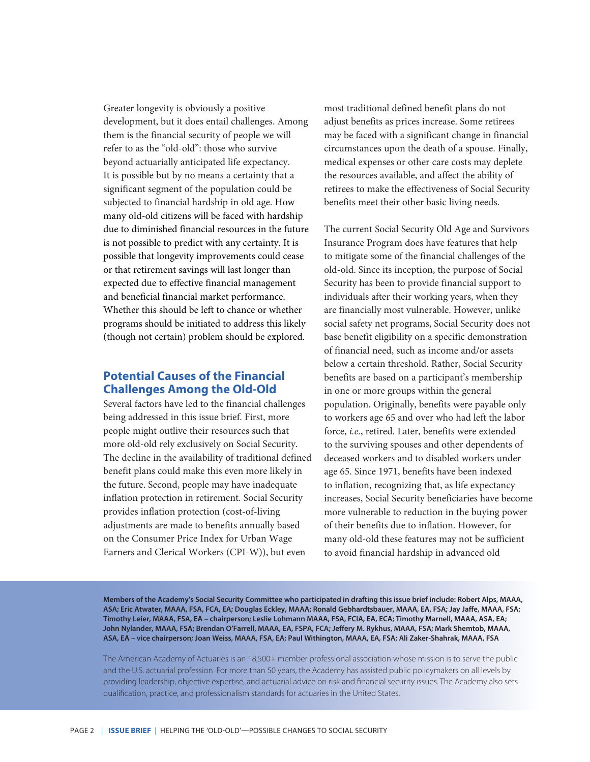Greater longevity is obviously a positive development, but it does entail challenges. Among them is the financial security of people we will refer to as the "old-old": those who survive beyond actuarially anticipated life expectancy. It is possible but by no means a certainty that a significant segment of the population could be subjected to financial hardship in old age. How many old-old citizens will be faced with hardship due to diminished financial resources in the future is not possible to predict with any certainty. It is possible that longevity improvements could cease or that retirement savings will last longer than expected due to effective financial management and beneficial financial market performance. Whether this should be left to chance or whether programs should be initiated to address this likely (though not certain) problem should be explored.

# **Potential Causes of the Financial Challenges Among the Old-Old**

Several factors have led to the financial challenges being addressed in this issue brief. First, more people might outlive their resources such that more old-old rely exclusively on Social Security. The decline in the availability of traditional defined benefit plans could make this even more likely in the future. Second, people may have inadequate inflation protection in retirement. Social Security provides inflation protection (cost-of-living adjustments are made to benefits annually based on the Consumer Price Index for Urban Wage Earners and Clerical Workers (CPI-W)), but even

most traditional defined benefit plans do not adjust benefits as prices increase. Some retirees may be faced with a significant change in financial circumstances upon the death of a spouse. Finally, medical expenses or other care costs may deplete the resources available, and affect the ability of retirees to make the effectiveness of Social Security benefits meet their other basic living needs.

The current Social Security Old Age and Survivors Insurance Program does have features that help to mitigate some of the financial challenges of the old-old. Since its inception, the purpose of Social Security has been to provide financial support to individuals after their working years, when they are financially most vulnerable. However, unlike social safety net programs, Social Security does not base benefit eligibility on a specific demonstration of financial need, such as income and/or assets below a certain threshold. Rather, Social Security benefits are based on a participant's membership in one or more groups within the general population. Originally, benefits were payable only to workers age 65 and over who had left the labor force, *i.e.*, retired. Later, benefits were extended to the surviving spouses and other dependents of deceased workers and to disabled workers under age 65. Since 1971, benefits have been indexed to inflation, recognizing that, as life expectancy increases, Social Security beneficiaries have become more vulnerable to reduction in the buying power of their benefits due to inflation. However, for many old-old these features may not be sufficient to avoid financial hardship in advanced old

**Members of the Academy's Social Security Committee who participated in drafting this issue brief include: Robert Alps, MAAA, ASA; Eric Atwater, MAAA, FSA, FCA, EA; Douglas Eckley, MAAA; Ronald Gebhardtsbauer, MAAA, EA, FSA; Jay Jaffe, MAAA, FSA; Timothy Leier, MAAA, FSA, EA – chairperson; Leslie Lohmann MAAA, FSA, FCIA, EA, ECA; Timothy Marnell, MAAA, ASA, EA; John Nylander, MAAA, FSA; Brendan O'Farrell, MAAA, EA, FSPA, FCA; Jeffery M. Rykhus, MAAA, FSA; Mark Shemtob, MAAA, ASA, EA – vice chairperson; Joan Weiss, MAAA, FSA, EA; Paul Withington, MAAA, EA, FSA; Ali Zaker-Shahrak, MAAA, FSA**

The American Academy of Actuaries is an 18,500+ member professional association whose mission is to serve the public and the U.S. actuarial profession. For more than 50 years, the Academy has assisted public policymakers on all levels by providing leadership, objective expertise, and actuarial advice on risk and financial security issues. The Academy also sets qualification, practice, and professionalism standards for actuaries in the United States.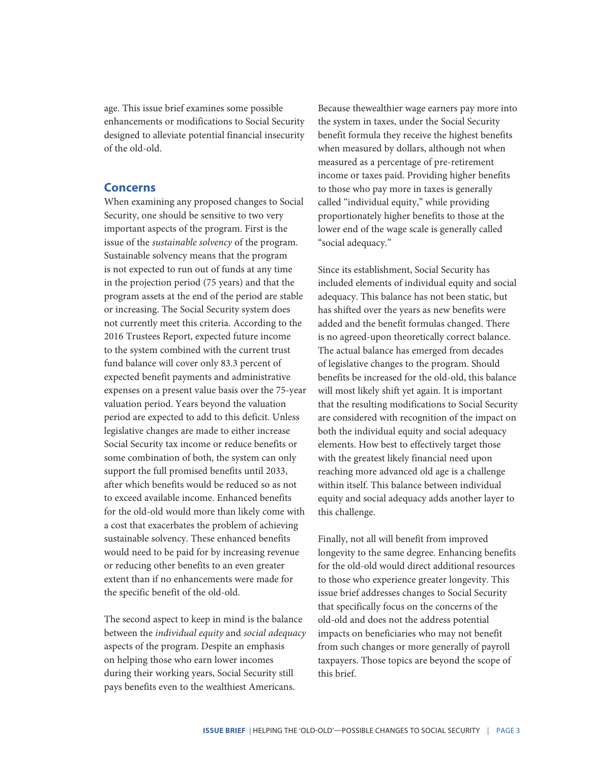age. This issue brief examines some possible enhancements or modifications to Social Security designed to alleviate potential financial insecurity of the old-old.

#### **Concerns**

When examining any proposed changes to Social Security, one should be sensitive to two very important aspects of the program. First is the issue of the *sustainable solvency* of the program. Sustainable solvency means that the program is not expected to run out of funds at any time in the projection period (75 years) and that the program assets at the end of the period are stable or increasing. The Social Security system does not currently meet this criteria. According to the 2016 Trustees Report, expected future income to the system combined with the current trust fund balance will cover only 83.3 percent of expected benefit payments and administrative expenses on a present value basis over the 75-year valuation period. Years beyond the valuation period are expected to add to this deficit. Unless legislative changes are made to either increase Social Security tax income or reduce benefits or some combination of both, the system can only support the full promised benefits until 2033, after which benefits would be reduced so as not to exceed available income. Enhanced benefits for the old-old would more than likely come with a cost that exacerbates the problem of achieving sustainable solvency. These enhanced benefits would need to be paid for by increasing revenue or reducing other benefits to an even greater extent than if no enhancements were made for the specific benefit of the old-old.

The second aspect to keep in mind is the balance between the *individual equity* and *social adequacy* aspects of the program. Despite an emphasis on helping those who earn lower incomes during their working years, Social Security still pays benefits even to the wealthiest Americans.

Because thewealthier wage earners pay more into the system in taxes, under the Social Security benefit formula they receive the highest benefits when measured by dollars, although not when measured as a percentage of pre-retirement income or taxes paid. Providing higher benefits to those who pay more in taxes is generally called "individual equity," while providing proportionately higher benefits to those at the lower end of the wage scale is generally called "social adequacy."

Since its establishment, Social Security has included elements of individual equity and social adequacy. This balance has not been static, but has shifted over the years as new benefits were added and the benefit formulas changed. There is no agreed-upon theoretically correct balance. The actual balance has emerged from decades of legislative changes to the program. Should benefits be increased for the old-old, this balance will most likely shift yet again. It is important that the resulting modifications to Social Security are considered with recognition of the impact on both the individual equity and social adequacy elements. How best to effectively target those with the greatest likely financial need upon reaching more advanced old age is a challenge within itself. This balance between individual equity and social adequacy adds another layer to this challenge.

Finally, not all will benefit from improved longevity to the same degree. Enhancing benefits for the old-old would direct additional resources to those who experience greater longevity. This issue brief addresses changes to Social Security that specifically focus on the concerns of the old-old and does not the address potential impacts on beneficiaries who may not benefit from such changes or more generally of payroll taxpayers. Those topics are beyond the scope of this brief.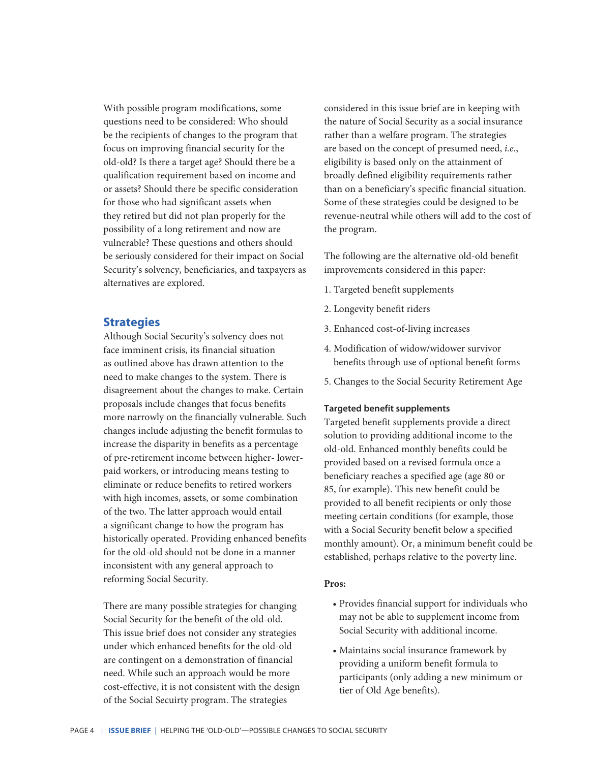With possible program modifications, some questions need to be considered: Who should be the recipients of changes to the program that focus on improving financial security for the old-old? Is there a target age? Should there be a qualification requirement based on income and or assets? Should there be specific consideration for those who had significant assets when they retired but did not plan properly for the possibility of a long retirement and now are vulnerable? These questions and others should be seriously considered for their impact on Social Security's solvency, beneficiaries, and taxpayers as alternatives are explored.

## **Strategies**

Although Social Security's solvency does not face imminent crisis, its financial situation as outlined above has drawn attention to the need to make changes to the system. There is disagreement about the changes to make. Certain proposals include changes that focus benefits more narrowly on the financially vulnerable. Such changes include adjusting the benefit formulas to increase the disparity in benefits as a percentage of pre-retirement income between higher- lowerpaid workers, or introducing means testing to eliminate or reduce benefits to retired workers with high incomes, assets, or some combination of the two. The latter approach would entail a significant change to how the program has historically operated. Providing enhanced benefits for the old-old should not be done in a manner inconsistent with any general approach to reforming Social Security.

There are many possible strategies for changing Social Security for the benefit of the old-old. This issue brief does not consider any strategies under which enhanced benefits for the old-old are contingent on a demonstration of financial need. While such an approach would be more cost-effective, it is not consistent with the design of the Social Secuirty program. The strategies

considered in this issue brief are in keeping with the nature of Social Security as a social insurance rather than a welfare program. The strategies are based on the concept of presumed need, *i.e.*, eligibility is based only on the attainment of broadly defined eligibility requirements rather than on a beneficiary's specific financial situation. Some of these strategies could be designed to be revenue-neutral while others will add to the cost of the program.

The following are the alternative old-old benefit improvements considered in this paper:

- 1. Targeted benefit supplements
- 2. Longevity benefit riders
- 3. Enhanced cost-of-living increases
- 4. Modification of widow/widower survivor benefits through use of optional benefit forms
- 5. Changes to the Social Security Retirement Age

#### **Targeted benefit supplements**

Targeted benefit supplements provide a direct solution to providing additional income to the old-old. Enhanced monthly benefits could be provided based on a revised formula once a beneficiary reaches a specified age (age 80 or 85, for example). This new benefit could be provided to all benefit recipients or only those meeting certain conditions (for example, those with a Social Security benefit below a specified monthly amount). Or, a minimum benefit could be established, perhaps relative to the poverty line.

#### **Pros:**

- Provides financial support for individuals who may not be able to supplement income from Social Security with additional income.
- Maintains social insurance framework by providing a uniform benefit formula to participants (only adding a new minimum or tier of Old Age benefits).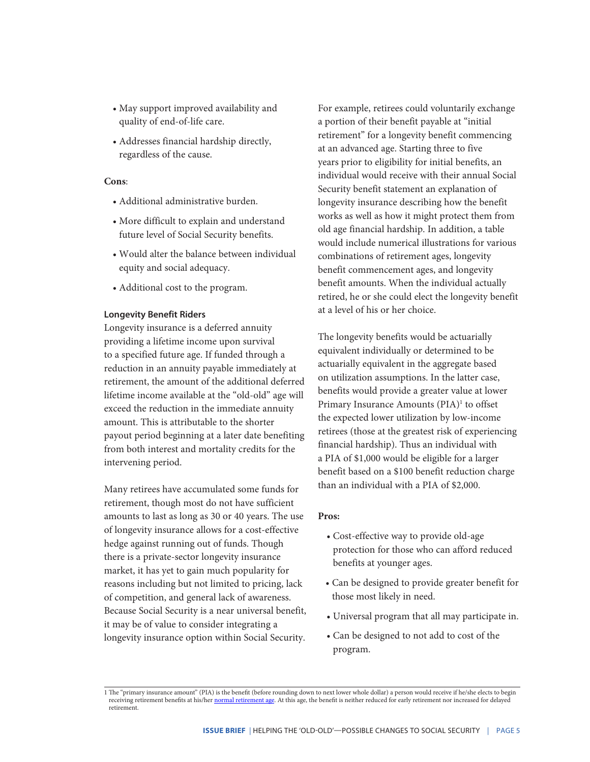- May support improved availability and quality of end-of-life care.
- Addresses financial hardship directly, regardless of the cause.

#### **Cons**:

- Additional administrative burden.
- More difficult to explain and understand future level of Social Security benefits.
- Would alter the balance between individual equity and social adequacy.
- Additional cost to the program.

#### **Longevity Benefit Riders**

Longevity insurance is a deferred annuity providing a lifetime income upon survival to a specified future age. If funded through a reduction in an annuity payable immediately at retirement, the amount of the additional deferred lifetime income available at the "old-old" age will exceed the reduction in the immediate annuity amount. This is attributable to the shorter payout period beginning at a later date benefiting from both interest and mortality credits for the intervening period.

Many retirees have accumulated some funds for retirement, though most do not have sufficient amounts to last as long as 30 or 40 years. The use of longevity insurance allows for a cost-effective hedge against running out of funds. Though there is a private-sector longevity insurance market, it has yet to gain much popularity for reasons including but not limited to pricing, lack of competition, and general lack of awareness. Because Social Security is a near universal benefit, it may be of value to consider integrating a longevity insurance option within Social Security.

For example, retirees could voluntarily exchange a portion of their benefit payable at "initial retirement" for a longevity benefit commencing at an advanced age. Starting three to five years prior to eligibility for initial benefits, an individual would receive with their annual Social Security benefit statement an explanation of longevity insurance describing how the benefit works as well as how it might protect them from old age financial hardship. In addition, a table would include numerical illustrations for various combinations of retirement ages, longevity benefit commencement ages, and longevity benefit amounts. When the individual actually retired, he or she could elect the longevity benefit at a level of his or her choice.

The longevity benefits would be actuarially equivalent individually or determined to be actuarially equivalent in the aggregate based on utilization assumptions. In the latter case, benefits would provide a greater value at lower Primary Insurance Amounts (PIA)<sup>1</sup> to offset the expected lower utilization by low-income retirees (those at the greatest risk of experiencing financial hardship). Thus an individual with a PIA of \$1,000 would be eligible for a larger benefit based on a \$100 benefit reduction charge than an individual with a PIA of \$2,000.

#### **Pros:**

- Cost-effective way to provide old-age protection for those who can afford reduced benefits at younger ages.
- Can be designed to provide greater benefit for those most likely in need.
- Universal program that all may participate in.
- Can be designed to not add to cost of the program.

<sup>1</sup> The "primary insurance amount" (PIA) is the benefit (before rounding down to next lower whole dollar) a person would receive if he/she elects to begin receiving retirement benefits at his/her [normal retirement age.](https://www.ssa.gov/oact/ProgData/nra.html) At this age, the benefit is neither reduced for early retirement nor increased for delayed retirement.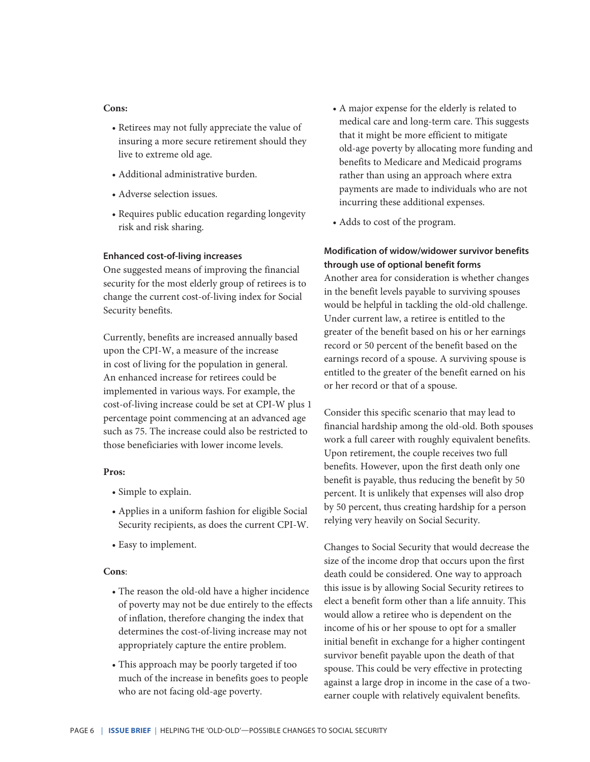#### **Cons:**

- Retirees may not fully appreciate the value of insuring a more secure retirement should they live to extreme old age.
- Additional administrative burden.
- Adverse selection issues.
- Requires public education regarding longevity risk and risk sharing.

#### **Enhanced cost-of-living increases**

One suggested means of improving the financial security for the most elderly group of retirees is to change the current cost-of-living index for Social Security benefits.

Currently, benefits are increased annually based upon the CPI-W, a measure of the increase in cost of living for the population in general. An enhanced increase for retirees could be implemented in various ways. For example, the cost-of-living increase could be set at CPI-W plus 1 percentage point commencing at an advanced age such as 75. The increase could also be restricted to those beneficiaries with lower income levels.

#### **Pros:**

- Simple to explain.
- Applies in a uniform fashion for eligible Social Security recipients, as does the current CPI-W.
- Easy to implement.

#### **Cons**:

- The reason the old-old have a higher incidence of poverty may not be due entirely to the effects of inflation, therefore changing the index that determines the cost-of-living increase may not appropriately capture the entire problem.
- This approach may be poorly targeted if too much of the increase in benefits goes to people who are not facing old-age poverty.
- A major expense for the elderly is related to medical care and long-term care. This suggests that it might be more efficient to mitigate old-age poverty by allocating more funding and benefits to Medicare and Medicaid programs rather than using an approach where extra payments are made to individuals who are not incurring these additional expenses.
- Adds to cost of the program.

# **Modification of widow/widower survivor benefits through use of optional benefit forms**

Another area for consideration is whether changes in the benefit levels payable to surviving spouses would be helpful in tackling the old-old challenge. Under current law, a retiree is entitled to the greater of the benefit based on his or her earnings record or 50 percent of the benefit based on the earnings record of a spouse. A surviving spouse is entitled to the greater of the benefit earned on his or her record or that of a spouse.

Consider this specific scenario that may lead to financial hardship among the old-old. Both spouses work a full career with roughly equivalent benefits. Upon retirement, the couple receives two full benefits. However, upon the first death only one benefit is payable, thus reducing the benefit by 50 percent. It is unlikely that expenses will also drop by 50 percent, thus creating hardship for a person relying very heavily on Social Security.

Changes to Social Security that would decrease the size of the income drop that occurs upon the first death could be considered. One way to approach this issue is by allowing Social Security retirees to elect a benefit form other than a life annuity. This would allow a retiree who is dependent on the income of his or her spouse to opt for a smaller initial benefit in exchange for a higher contingent survivor benefit payable upon the death of that spouse. This could be very effective in protecting against a large drop in income in the case of a twoearner couple with relatively equivalent benefits.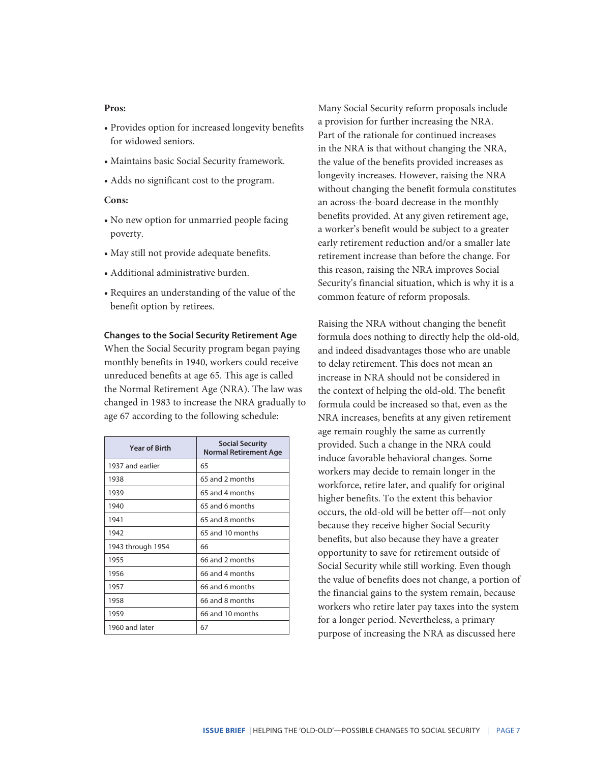#### **Pros:**

- Provides option for increased longevity benefits for widowed seniors.
- Maintains basic Social Security framework.
- Adds no significant cost to the program.

#### **Cons:**

- No new option for unmarried people facing poverty.
- May still not provide adequate benefits.
- Additional administrative burden.
- Requires an understanding of the value of the benefit option by retirees.

#### **Changes to the Social Security Retirement Age**

When the Social Security program began paying monthly benefits in 1940, workers could receive unreduced benefits at age 65. This age is called the Normal Retirement Age (NRA). The law was changed in 1983 to increase the NRA gradually to age 67 according to the following schedule:

| <b>Year of Birth</b> | <b>Social Security</b><br><b>Normal Retirement Age</b> |  |  |  |
|----------------------|--------------------------------------------------------|--|--|--|
| 1937 and earlier     | 65                                                     |  |  |  |
| 1938                 | 65 and 2 months                                        |  |  |  |
| 1939                 | 65 and 4 months                                        |  |  |  |
| 1940                 | 65 and 6 months                                        |  |  |  |
| 1941                 | 65 and 8 months                                        |  |  |  |
| 1942                 | 65 and 10 months                                       |  |  |  |
| 1943 through 1954    | 66                                                     |  |  |  |
| 1955                 | 66 and 2 months                                        |  |  |  |
| 1956                 | 66 and 4 months                                        |  |  |  |
| 1957                 | 66 and 6 months                                        |  |  |  |
| 1958                 | 66 and 8 months                                        |  |  |  |
| 1959                 | 66 and 10 months                                       |  |  |  |
| 1960 and later       | 67                                                     |  |  |  |

Many Social Security reform proposals include a provision for further increasing the NRA. Part of the rationale for continued increases in the NRA is that without changing the NRA, the value of the benefits provided increases as longevity increases. However, raising the NRA without changing the benefit formula constitutes an across-the-board decrease in the monthly benefits provided. At any given retirement age, a worker's benefit would be subject to a greater early retirement reduction and/or a smaller late retirement increase than before the change. For this reason, raising the NRA improves Social Security's financial situation, which is why it is a common feature of reform proposals.

Raising the NRA without changing the benefit formula does nothing to directly help the old-old, and indeed disadvantages those who are unable to delay retirement. This does not mean an increase in NRA should not be considered in the context of helping the old-old. The benefit formula could be increased so that, even as the NRA increases, benefits at any given retirement age remain roughly the same as currently provided. Such a change in the NRA could induce favorable behavioral changes. Some workers may decide to remain longer in the workforce, retire later, and qualify for original higher benefits. To the extent this behavior occurs, the old-old will be better off—not only because they receive higher Social Security benefits, but also because they have a greater opportunity to save for retirement outside of Social Security while still working. Even though the value of benefits does not change, a portion of the financial gains to the system remain, because workers who retire later pay taxes into the system for a longer period. Nevertheless, a primary purpose of increasing the NRA as discussed here